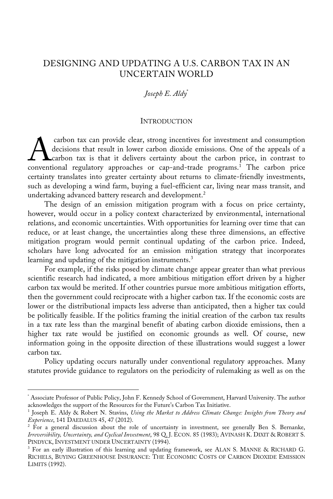# DESIGNING AND UPDATING A U.S. CARBON TAX IN AN UNCERTAIN WORLD

# *Joseph E. Aldy*\*

#### **INTRODUCTION**

carbon tax can provide clear, strong incentives for investment and consumption decisions that result in lower carbon dioxide emissions. One of the appeals of a carbon tax is that it delivers certainty about the carbon price, in contrast to carbon tax can provide clear, strong incentives for investment and consumption<br>decisions that result in lower carbon dioxide emissions. One of the appeals of a<br>conventional regulatory approaches or cap-and-trade programs.<sup></sup> certainty translates into greater certainty about returns to climate-friendly investments, such as developing a wind farm, buying a fuel-efficient car, living near mass transit, and undertaking advanced battery research and development.<sup>2</sup>

The design of an emission mitigation program with a focus on price certainty, however, would occur in a policy context characterized by environmental, international relations, and economic uncertainties. With opportunities for learning over time that can reduce, or at least change, the uncertainties along these three dimensions, an effective mitigation program would permit continual updating of the carbon price. Indeed, scholars have long advocated for an emission mitigation strategy that incorporates learning and updating of the mitigation instruments. 3

For example, if the risks posed by climate change appear greater than what previous scientific research had indicated, a more ambitious mitigation effort driven by a higher carbon tax would be merited. If other countries pursue more ambitious mitigation efforts, then the government could reciprocate with a higher carbon tax. If the economic costs are lower or the distributional impacts less adverse than anticipated, then a higher tax could be politically feasible. If the politics framing the initial creation of the carbon tax results in a tax rate less than the marginal benefit of abating carbon dioxide emissions, then a higher tax rate would be justified on economic grounds as well. Of course, new information going in the opposite direction of these illustrations would suggest a lower carbon tax.

Policy updating occurs naturally under conventional regulatory approaches. Many statutes provide guidance to regulators on the periodicity of rulemaking as well as on the

<sup>\*</sup> Associate Professor of Public Policy, John F. Kennedy School of Government, Harvard University. The author acknowledges the support of the Resources for the Future's Carbon Tax Initiative.

<sup>1</sup> Joseph E. Aldy & Robert N. Stavins, *Using the Market to Address Climate Change: Insights from Theory and Experience*, 141 DAEDALUS 45, 47 (2012).

 $2 \text{ For a general discussion about the role of uncertainty in investment, see generally Ben S. Bernanke,}$ *Irreversibility, Uncertainty, and Cyclical Investment*, 98 Q. J. ECON. 85 (1983); AVINASH K. DIXIT & ROBERT S. PINDYCK, INVESTMENT UNDER UNCERTAINTY (1994).

<sup>&</sup>lt;sup>3</sup> For an early illustration of this learning and updating framework, see ALAN S. MANNE & RICHARD G. RICHELS, BUYING GREENHOUSE INSURANCE: THE ECONOMIC COSTS OF CARBON DIOXIDE EMISSION LIMITS (1992).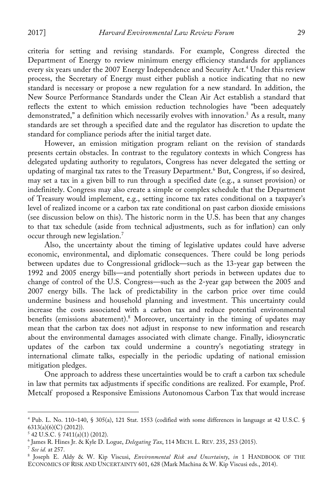criteria for setting and revising standards. For example, Congress directed the Department of Energy to review minimum energy efficiency standards for appliances every six years under the 2007 Energy Independence and Security Act.4 Under this review process, the Secretary of Energy must either publish a notice indicating that no new standard is necessary or propose a new regulation for a new standard. In addition, the New Source Performance Standards under the Clean Air Act establish a standard that reflects the extent to which emission reduction technologies have "been adequately demonstrated," a definition which necessarily evolves with innovation. <sup>5</sup> As a result, many standards are set through a specified date and the regulator has discretion to update the standard for compliance periods after the initial target date.

However, an emission mitigation program reliant on the revision of standards presents certain obstacles. In contrast to the regulatory contexts in which Congress has delegated updating authority to regulators, Congress has never delegated the setting or updating of marginal tax rates to the Treasury Department. <sup>6</sup> But, Congress, if so desired, may set a tax in a given bill to run through a specified date (e.g., a sunset provision) or indefinitely. Congress may also create a simple or complex schedule that the Department of Treasury would implement, e.g., setting income tax rates conditional on a taxpayer's level of realized income or a carbon tax rate conditional on past carbon dioxide emissions (see discussion below on this). The historic norm in the U.S. has been that any changes to that tax schedule (aside from technical adjustments, such as for inflation) can only occur through new legislation.7

Also, the uncertainty about the timing of legislative updates could have adverse economic, environmental, and diplomatic consequences. There could be long periods between updates due to Congressional gridlock—such as the 13-year gap between the 1992 and 2005 energy bills—and potentially short periods in between updates due to change of control of the U.S. Congress—such as the 2-year gap between the 2005 and 2007 energy bills. The lack of predictability in the carbon price over time could undermine business and household planning and investment. This uncertainty could increase the costs associated with a carbon tax and reduce potential environmental benefits (emissions abatement). <sup>8</sup> Moreover, uncertainty in the timing of updates may mean that the carbon tax does not adjust in response to new information and research about the environmental damages associated with climate change. Finally, idiosyncratic updates of the carbon tax could undermine a country's negotiating strategy in international climate talks, especially in the periodic updating of national emission mitigation pledges.

One approach to address these uncertainties would be to craft a carbon tax schedule in law that permits tax adjustments if specific conditions are realized. For example, Prof. Metcalf proposed a Responsive Emissions Autonomous Carbon Tax that would increase

<sup>4</sup> Pub. L. No. 110–140, § 305(a), 121 Stat. 1553 (codified with some differences in language at 42 U.S.C. § 6313(a)(6)(C) (2012)).

<sup>5</sup> 42 U.S.C. § 7411(a)(1) (2012).

<sup>6</sup> James R. Hines Jr. & Kyle D. Logue, *Delegating Tax*, 114 MICH. L. REV. 235, 253 (2015). 7 *See id.* at 257.

<sup>8</sup> Joseph E. Aldy & W. Kip Viscusi, *Environmental Risk and Uncertainty*, *in* 1 HANDBOOK OF THE ECONOMICS OF RISK AND UNCERTAINTY 601, 628 (Mark Machina & W. Kip Viscusi eds., 2014).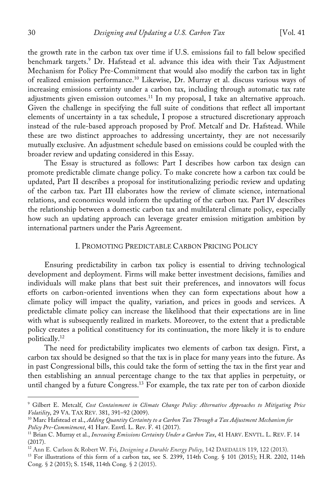the growth rate in the carbon tax over time if U.S. emissions fail to fall below specified benchmark targets.9 Dr. Hafstead et al. advance this idea with their Tax Adjustment Mechanism for Policy Pre-Commitment that would also modify the carbon tax in light of realized emission performance.10 Likewise, Dr. Murray et al. discuss various ways of increasing emissions certainty under a carbon tax, including through automatic tax rate adjustments given emission outcomes.<sup>11</sup> In my proposal, I take an alternative approach. Given the challenge in specifying the full suite of conditions that reflect all important elements of uncertainty in a tax schedule, I propose a structured discretionary approach instead of the rule-based approach proposed by Prof. Metcalf and Dr. Hafstead. While these are two distinct approaches to addressing uncertainty, they are not necessarily mutually exclusive. An adjustment schedule based on emissions could be coupled with the broader review and updating considered in this Essay.

The Essay is structured as follows: Part I describes how carbon tax design can promote predictable climate change policy. To make concrete how a carbon tax could be updated, Part II describes a proposal for institutionalizing periodic review and updating of the carbon tax. Part III elaborates how the review of climate science, international relations, and economics would inform the updating of the carbon tax. Part IV describes the relationship between a domestic carbon tax and multilateral climate policy, especially how such an updating approach can leverage greater emission mitigation ambition by international partners under the Paris Agreement.

# I. PROMOTING PREDICTABLE CARBON PRICING POLICY

Ensuring predictability in carbon tax policy is essential to driving technological development and deployment. Firms will make better investment decisions, families and individuals will make plans that best suit their preferences, and innovators will focus efforts on carbon-oriented inventions when they can form expectations about how a climate policy will impact the quality, variation, and prices in goods and services. A predictable climate policy can increase the likelihood that their expectations are in line with what is subsequently realized in markets. Moreover, to the extent that a predictable policy creates a political constituency for its continuation, the more likely it is to endure politically.12

The need for predictability implicates two elements of carbon tax design. First, a carbon tax should be designed so that the tax is in place for many years into the future. As in past Congressional bills, this could take the form of setting the tax in the first year and then establishing an annual percentage change to the tax that applies in perpetuity, or until changed by a future Congress.<sup>13</sup> For example, the tax rate per ton of carbon dioxide

<sup>9</sup> Gilbert E. Metcalf, *Cost Containment in Climate Change Policy: Alternative Approaches to Mitigating Price Volatility*, 29 VA. TAX REV. 381, 391–92 (2009).

<sup>10</sup> Marc Hafstead et al., *Adding Quantity Certainty to a Carbon Tax Through a Tax Adjustment Mechanism for Policy Pre-Commitment*, 41 Harv. Envtl. L. Rev. F. 41 (2017).

<sup>&</sup>lt;sup>11</sup> Brian C. Murray et al., *Increasing Emissions Certainty Under a Carbon Tax*, 41 HARV. ENVTL. L. REV. F. 14 (2017).

<sup>12</sup> Ann E. Carlson & Robert W. Fri, *Designing a Durable Energy Policy*, 142 DAEDALUS 119, 122 (2013). 13 For illustrations of this form of a carbon tax, see S. 2399, 114th Cong. § 101 (2015); H.R. 2202, 114th Cong. § 2 (2015); S. 1548, 114th Cong. § 2 (2015).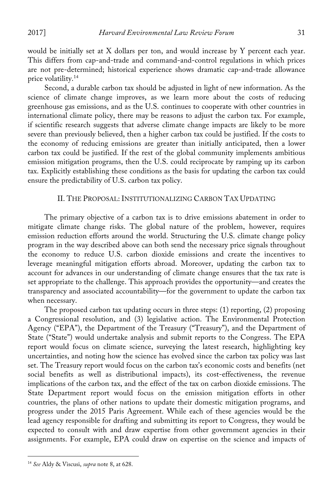would be initially set at  $X$  dollars per ton, and would increase by  $Y$  percent each year. This differs from cap-and-trade and command-and-control regulations in which prices are not pre-determined; historical experience shows dramatic cap-and-trade allowance price volatility.14

Second, a durable carbon tax should be adjusted in light of new information. As the science of climate change improves, as we learn more about the costs of reducing greenhouse gas emissions, and as the U.S. continues to cooperate with other countries in international climate policy, there may be reasons to adjust the carbon tax. For example, if scientific research suggests that adverse climate change impacts are likely to be more severe than previously believed, then a higher carbon tax could be justified. If the costs to the economy of reducing emissions are greater than initially anticipated, then a lower carbon tax could be justified. If the rest of the global community implements ambitious emission mitigation programs, then the U.S. could reciprocate by ramping up its carbon tax. Explicitly establishing these conditions as the basis for updating the carbon tax could ensure the predictability of U.S. carbon tax policy.

# II. THE PROPOSAL: INSTITUTIONALIZING CARBON TAX UPDATING

The primary objective of a carbon tax is to drive emissions abatement in order to mitigate climate change risks. The global nature of the problem, however, requires emission reduction efforts around the world. Structuring the U.S. climate change policy program in the way described above can both send the necessary price signals throughout the economy to reduce U.S. carbon dioxide emissions and create the incentives to leverage meaningful mitigation efforts abroad. Moreover, updating the carbon tax to account for advances in our understanding of climate change ensures that the tax rate is set appropriate to the challenge. This approach provides the opportunity—and creates the transparency and associated accountability—for the government to update the carbon tax when necessary.

The proposed carbon tax updating occurs in three steps: (1) reporting, (2) proposing a Congressional resolution, and (3) legislative action. The Environmental Protection Agency ("EPA"), the Department of the Treasury ("Treasury"), and the Department of State ("State") would undertake analysis and submit reports to the Congress. The EPA report would focus on climate science, surveying the latest research, highlighting key uncertainties, and noting how the science has evolved since the carbon tax policy was last set. The Treasury report would focus on the carbon tax's economic costs and benefits (net social benefits as well as distributional impacts), its cost-effectiveness, the revenue implications of the carbon tax, and the effect of the tax on carbon dioxide emissions. The State Department report would focus on the emission mitigation efforts in other countries, the plans of other nations to update their domestic mitigation programs, and progress under the 2015 Paris Agreement. While each of these agencies would be the lead agency responsible for drafting and submitting its report to Congress, they would be expected to consult with and draw expertise from other government agencies in their assignments. For example, EPA could draw on expertise on the science and impacts of

<sup>14</sup> *See* Aldy & Viscusi, *supra* note 8, at 628.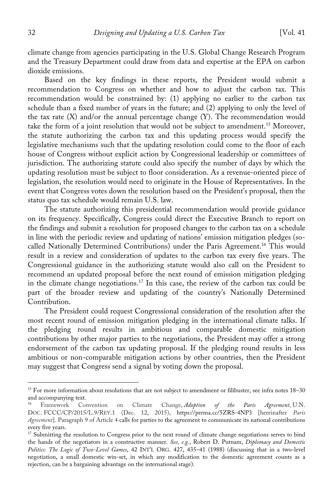climate change from agencies participating in the U.S. Global Change Research Program and the Treasury Department could draw from data and expertise at the EPA on carbon dioxide emissions.

Based on the key findings in these reports, the President would submit a recommendation to Congress on whether and how to adjust the carbon tax. This recommendation would be constrained by: (1) applying no earlier to the carbon tax schedule than a fixed number of years in the future; and (2) applying to only the level of the tax rate  $(X)$  and/or the annual percentage change  $(Y)$ . The recommendation would take the form of a joint resolution that would not be subject to amendment.<sup>15</sup> Moreover, the statute authorizing the carbon tax and this updating process would specify the legislative mechanisms such that the updating resolution could come to the floor of each house of Congress without explicit action by Congressional leadership or committees of jurisdiction. The authorizing statute could also specify the number of days by which the updating resolution must be subject to floor consideration. As a revenue-oriented piece of legislation, the resolution would need to originate in the House of Representatives. In the event that Congress votes down the resolution based on the President's proposal, then the status quo tax schedule would remain U.S. law.

The statute authorizing this presidential recommendation would provide guidance on its frequency. Specifically, Congress could direct the Executive Branch to report on the findings and submit a resolution for proposed changes to the carbon tax on a schedule in line with the periodic review and updating of nations' emission mitigation pledges (socalled Nationally Determined Contributions) under the Paris Agreement.<sup>16</sup> This would result in a review and consideration of updates to the carbon tax every five years. The Congressional guidance in the authorizing statute would also call on the President to recommend an updated proposal before the next round of emission mitigation pledging in the climate change negotiations.<sup>17</sup> In this case, the review of the carbon tax could be part of the broader review and updating of the country's Nationally Determined Contribution.

The President could request Congressional consideration of the resolution after the most recent round of emission mitigation pledging in the international climate talks. If the pledging round results in ambitious and comparable domestic mitigation contributions by other major parties to the negotiations, the President may offer a strong endorsement of the carbon tax updating proposal. If the pledging round results in less ambitious or non-comparable mitigation actions by other countries, then the President may suggest that Congress send a signal by voting down the proposal.

<sup>&</sup>lt;sup>15</sup> For more information about resolutions that are not subject to amendment or filibuster, see infra notes 18–30 and accompanying text.

<sup>16</sup> Framework Convention on Climate Change, *Adoption of the Paris Agreement*, U.N. DOC. FCCC/CP/2015/L.9/REV.1 (Dec. 12, 2015), https://perma.cc/5ZRS-4NP3 [hereinafter *Paris Agreement*]. Paragraph 9 of Article 4 calls for parties to the agreement to communicate its national contributions every five years.

<sup>&</sup>lt;sup>17</sup> Submitting the resolution to Congress prior to the next round of climate change negotiations serves to bind the hands of the negotiators in a constructive manner. *See, e.g.*, Robert D. Putnam, *Diplomacy and Domestic Politics: The Logic of Two-Level Games*, 42 INT'L ORG. 427, 435–41 (1988) (discussing that in a two-level negotiation, a small domestic win-set, in which any modification to the domestic agreement counts as a rejection, can be a bargaining advantage on the international stage).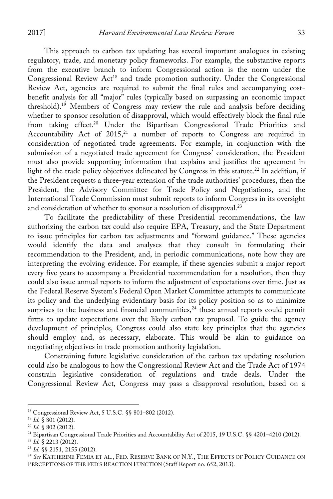This approach to carbon tax updating has several important analogues in existing regulatory, trade, and monetary policy frameworks. For example, the substantive reports from the executive branch to inform Congressional action is the norm under the Congressional Review Act<sup>18</sup> and trade promotion authority. Under the Congressional Review Act, agencies are required to submit the final rules and accompanying costbenefit analysis for all "major" rules (typically based on surpassing an economic impact threshold).19 Members of Congress may review the rule and analysis before deciding whether to sponsor resolution of disapproval, which would effectively block the final rule from taking effect.<sup>20</sup> Under the Bipartisan Congressional Trade Priorities and Accountability Act of  $2015<sub>1</sub><sup>21</sup>$  a number of reports to Congress are required in consideration of negotiated trade agreements. For example, in conjunction with the submission of a negotiated trade agreement for Congress' consideration, the President must also provide supporting information that explains and justifies the agreement in light of the trade policy objectives delineated by Congress in this statute.<sup>22</sup> In addition, if the President requests a three-year extension of the trade authorities' procedures, then the President, the Advisory Committee for Trade Policy and Negotiations, and the International Trade Commission must submit reports to inform Congress in its oversight and consideration of whether to sponsor a resolution of disapproval.<sup>23</sup>

To facilitate the predictability of these Presidential recommendations, the law authorizing the carbon tax could also require EPA, Treasury, and the State Department to issue principles for carbon tax adjustments and "forward guidance." These agencies would identify the data and analyses that they consult in formulating their recommendation to the President, and, in periodic communications, note how they are interpreting the evolving evidence. For example, if these agencies submit a major report every five years to accompany a Presidential recommendation for a resolution, then they could also issue annual reports to inform the adjustment of expectations over time. Just as the Federal Reserve System's Federal Open Market Committee attempts to communicate its policy and the underlying evidentiary basis for its policy position so as to minimize surprises to the business and financial communities,<sup>24</sup> these annual reports could permit firms to update expectations over the likely carbon tax proposal. To guide the agency development of principles, Congress could also state key principles that the agencies should employ and, as necessary, elaborate. This would be akin to guidance on negotiating objectives in trade promotion authority legislation.

Constraining future legislative consideration of the carbon tax updating resolution could also be analogous to how the Congressional Review Act and the Trade Act of 1974 constrain legislative consideration of regulations and trade deals. Under the Congressional Review Act, Congress may pass a disapproval resolution, based on a

- 
- <sup>23</sup> *Id.* §§ 2151, 2155 (2012).

<sup>18</sup> Congressional Review Act, 5 U.S.C. §§ 801–802 (2012).

<sup>19</sup> *Id.* § 801 (2012). 20 *Id.* § 802 (2012).

<sup>&</sup>lt;sup>21</sup> Bipartisan Congressional Trade Priorities and Accountability Act of 2015, 19 U.S.C. §§ 4201–4210 (2012).<br><sup>22</sup> *Id.* § 2213 (2012).

<sup>24</sup> *See* KATHERINE FEMIA ET AL., FED. RESERVE BANK OF N.Y., THE EFFECTS OF POLICY GUIDANCE ON PERCEPTIONS OF THE FED'S REACTION FUNCTION (Staff Report no. 652, 2013).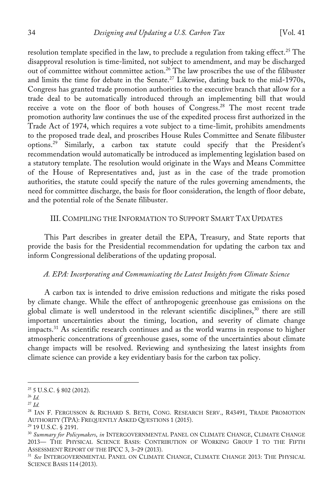resolution template specified in the law, to preclude a regulation from taking effect.<sup>25</sup> The disapproval resolution is time-limited, not subject to amendment, and may be discharged out of committee without committee action.<sup>26</sup> The law proscribes the use of the filibuster and limits the time for debate in the Senate.<sup>27</sup> Likewise, dating back to the mid-1970s, Congress has granted trade promotion authorities to the executive branch that allow for a trade deal to be automatically introduced through an implementing bill that would receive a vote on the floor of both houses of Congress.28 The most recent trade promotion authority law continues the use of the expedited process first authorized in the Trade Act of 1974, which requires a vote subject to a time-limit, prohibits amendments to the proposed trade deal, and proscribes House Rules Committee and Senate filibuster options.29 Similarly, a carbon tax statute could specify that the President's recommendation would automatically be introduced as implementing legislation based on a statutory template. The resolution would originate in the Ways and Means Committee of the House of Representatives and, just as in the case of the trade promotion authorities, the statute could specify the nature of the rules governing amendments, the need for committee discharge, the basis for floor consideration, the length of floor debate, and the potential role of the Senate filibuster.

# III. COMPILING THE INFORMATION TO SUPPORT SMART TAX UPDATES

This Part describes in greater detail the EPA, Treasury, and State reports that provide the basis for the Presidential recommendation for updating the carbon tax and inform Congressional deliberations of the updating proposal.

#### *A. EPA: Incorporating and Communicating the Latest Insights from Climate Science*

A carbon tax is intended to drive emission reductions and mitigate the risks posed by climate change. While the effect of anthropogenic greenhouse gas emissions on the global climate is well understood in the relevant scientific disciplines,<sup>30</sup> there are still important uncertainties about the timing, location, and severity of climate change impacts.31 As scientific research continues and as the world warms in response to higher atmospheric concentrations of greenhouse gases, some of the uncertainties about climate change impacts will be resolved. Reviewing and synthesizing the latest insights from climate science can provide a key evidentiary basis for the carbon tax policy.

 $25$  5 U.S.C. § 802 (2012).

<sup>26</sup> *Id.*

<sup>27</sup> *Id.*

<sup>&</sup>lt;sup>28</sup> IAN F. FERGUSSON & RICHARD S. BETH, CONG. RESEARCH SERV., R43491, TRADE PROMOTION AUTHORITY (TPA): FREQUENTLY ASKED QUESTIONS 1 (2015).

<sup>29</sup> 19 U.S.C. § 2191.

<sup>30</sup> *Summary for Policymakers*, *in* INTERGOVERNMENTAL PANEL ON CLIMATE CHANGE, CLIMATE CHANGE 2013— THE PHYSICAL SCIENCE BASIS: CONTRIBUTION OF WORKING GROUP I TO THE FIFTH ASSESSMENT REPORT OF THE IPCC 3, 3–29 (2013).

<sup>31</sup> *See* INTERGOVERNMENTAL PANEL ON CLIMATE CHANGE, CLIMATE CHANGE 2013: THE PHYSICAL SCIENCE BASIS 114 (2013).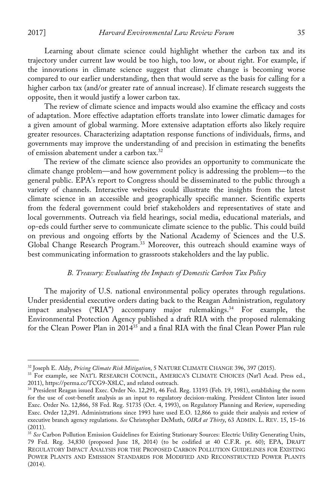$\overline{a}$ 

Learning about climate science could highlight whether the carbon tax and its trajectory under current law would be too high, too low, or about right. For example, if the innovations in climate science suggest that climate change is becoming worse compared to our earlier understanding, then that would serve as the basis for calling for a higher carbon tax (and/or greater rate of annual increase). If climate research suggests the opposite, then it would justify a lower carbon tax.

The review of climate science and impacts would also examine the efficacy and costs of adaptation. More effective adaptation efforts translate into lower climatic damages for a given amount of global warming. More extensive adaptation efforts also likely require greater resources. Characterizing adaptation response functions of individuals, firms, and governments may improve the understanding of and precision in estimating the benefits of emission abatement under a carbon tax. 32

The review of the climate science also provides an opportunity to communicate the climate change problem—and how government policy is addressing the problem—to the general public. EPA's report to Congress should be disseminated to the public through a variety of channels. Interactive websites could illustrate the insights from the latest climate science in an accessible and geographically specific manner. Scientific experts from the federal government could brief stakeholders and representatives of state and local governments. Outreach via field hearings, social media, educational materials, and op-eds could further serve to communicate climate science to the public. This could build on previous and ongoing efforts by the National Academy of Sciences and the U.S. Global Change Research Program.33 Moreover, this outreach should examine ways of best communicating information to grassroots stakeholders and the lay public.

#### *B. Treasury: Evaluating the Impacts of Domestic Carbon Tax Policy*

The majority of U.S. national environmental policy operates through regulations. Under presidential executive orders dating back to the Reagan Administration, regulatory impact analyses ("RIA") accompany major rulemakings. $34$  For example, the Environmental Protection Agency published a draft RIA with the proposed rulemaking for the Clean Power Plan in 201435 and a final RIA with the final Clean Power Plan rule

<sup>32</sup> Joseph E. Aldy, *Pricing Climate Risk Mitigation*, 5 NATURE CLIMATE CHANGE 396, 397 (2015).

<sup>&</sup>lt;sup>33</sup> For example, see NAT'L RESEARCH COUNCIL, AMERICA'S CLIMATE CHOICES (Nat'l Acad. Press ed., 2011), https://perma.cc/TCG9-X8LC, and related outreach.

<sup>34</sup> President Reagan issued Exec. Order No. 12,291, 46 Fed. Reg. 13193 (Feb. 19, 1981), establishing the norm for the use of cost-benefit analysis as an input to regulatory decision-making. President Clinton later issued Exec. Order No. 12,866, 58 Fed. Reg. 51735 (Oct. 4, 1993), on Regulatory Planning and Review, superseding Exec. Order 12,291. Administrations since 1993 have used E.O. 12,866 to guide their analysis and review of executive branch agency regulations. *See* Christopher DeMuth, *OIRA at Thirty*, 63 ADMIN. L. REV. 15, 15–16 (2011).

<sup>35</sup> *See* Carbon Pollution Emission Guidelines for Existing Stationary Sources: Electric Utility Generating Units, 79 Fed. Reg. 34,830 (proposed June 18, 2014) (to be codified at 40 C.F.R. pt. 60); EPA, DRAFT REGULATORY IMPACT ANALYSIS FOR THE PROPOSED CARBON POLLUTION GUIDELINES FOR EXISTING POWER PLANTS AND EMISSION STANDARDS FOR MODIFIED AND RECONSTRUCTED POWER PLANTS (2014).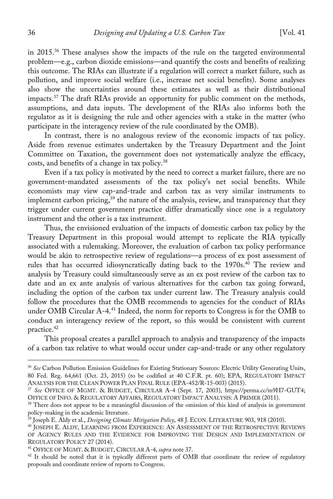in 2015.36 These analyses show the impacts of the rule on the targeted environmental problem—e.g., carbon dioxide emissions—and quantify the costs and benefits of realizing this outcome. The RIAs can illustrate if a regulation will correct a market failure, such as pollution, and improve social welfare (i.e., increase net social benefits). Some analyses also show the uncertainties around these estimates as well as their distributional impacts.<sup>37</sup> The draft RIAs provide an opportunity for public comment on the methods, assumptions, and data inputs. The development of the RIAs also informs both the regulator as it is designing the rule and other agencies with a stake in the matter (who participate in the interagency review of the rule coordinated by the OMB).

In contrast, there is no analogous review of the economic impacts of tax policy. Aside from revenue estimates undertaken by the Treasury Department and the Joint Committee on Taxation, the government does not systematically analyze the efficacy, costs, and benefits of a change in tax policy.38

Even if a tax policy is motivated by the need to correct a market failure, there are no government-mandated assessments of the tax policy's net social benefits. While economists may view cap-and-trade and carbon tax as very similar instruments to implement carbon pricing,<sup>39</sup> the nature of the analysis, review, and transparency that they trigger under current government practice differ dramatically since one is a regulatory instrument and the other is a tax instrument.

Thus, the envisioned evaluation of the impacts of domestic carbon tax policy by the Treasury Department in this proposal would attempt to replicate the RIA typically associated with a rulemaking. Moreover, the evaluation of carbon tax policy performance would be akin to retrospective review of regulations—a process of ex post assessment of rules that has occurred idiosyncratically dating back to the 1970s.<sup>40</sup> The review and analysis by Treasury could simultaneously serve as an ex post review of the carbon tax to date and an ex ante analysis of various alternatives for the carbon tax going forward, including the option of the carbon tax under current law. The Treasury analysis could follow the procedures that the OMB recommends to agencies for the conduct of RIAs under OMB Circular A-4.41 Indeed, the norm for reports to Congress is for the OMB to conduct an interagency review of the report, so this would be consistent with current practice.42

This proposal creates a parallel approach to analysis and transparency of the impacts of a carbon tax relative to what would occur under cap-and-trade or any other regulatory

<sup>36</sup> *See* Carbon Pollution Emission Guidelines for Existing Stationary Sources: Electric Utility Generating Units, 80 Fed. Reg. 64,661 (Oct. 23, 2015) (to be codified at 40 C.F.R. pt. 60); EPA, REGULATORY IMPACT ANALYSIS FOR THE CLEAN POWER PLAN FINAL RULE (EPA-452/R-15-003) (2015).

<sup>37</sup> *See* OFFICE OF MGMT. & BUDGET, CIRCULAR A-4 (Sept. 17, 2003), https://perma.cc/m9H7-GUT4; OFFICE OF INFO. & REGULATORY AFFAIRS, REGULATORY IMPACT ANALYSIS: A PRIMER (2011).

<sup>&</sup>lt;sup>38</sup> There does not appear to be a meaningful discussion of the omission of this kind of analysis in government policy-making in the academic literature.<br><sup>39</sup> Joseph E. Aldy et al., *Designing Climate Mitigation Policy*, 48 J. ECON. LITERATURE 903, 918 (2010).

<sup>40</sup> JOSEPH E. ALDY, LEARNING FROM EXPERIENCE: AN ASSESSMENT OF THE RETROSPECTIVE REVIEWS OF AGENCY RULES AND THE EVIDENCE FOR IMPROVING THE DESIGN AND IMPLEMENTATION OF REGULATORY POLICY 27 (2014).

<sup>&</sup>lt;sup>41</sup> OFFICE OF MGMT. & BUDGET, CIRCULAR A-4, *supra* note 37.<br><sup>42</sup> It should be noted that it is typically different parts of OMB that coordinate the review of regulatory proposals and coordinate review of reports to Congress.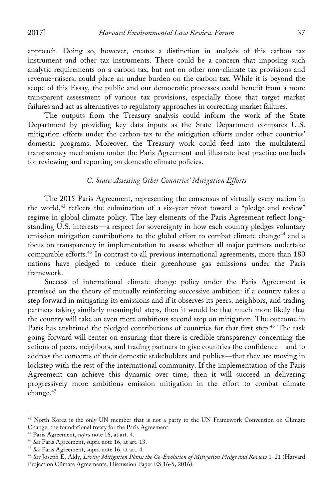approach. Doing so, however, creates a distinction in analysis of this carbon tax instrument and other tax instruments. There could be a concern that imposing such analytic requirements on a carbon tax, but not on other non-climate tax provisions and revenue-raisers, could place an undue burden on the carbon tax. While it is beyond the scope of this Essay, the public and our democratic processes could benefit from a more transparent assessment of various tax provisions, especially those that target market failures and act as alternatives to regulatory approaches in correcting market failures.

The outputs from the Treasury analysis could inform the work of the State Department by providing key data inputs as the State Department compares U.S. mitigation efforts under the carbon tax to the mitigation efforts under other countries' domestic programs. Moreover, the Treasury work could feed into the multilateral transparency mechanism under the Paris Agreement and illustrate best practice methods for reviewing and reporting on domestic climate policies.

# *C. State: Assessing Other Countries' Mitigation Efforts*

The 2015 Paris Agreement, representing the consensus of virtually every nation in the world,<sup>43</sup> reflects the culmination of a six-year pivot toward a "pledge and review" regime in global climate policy. The key elements of the Paris Agreement reflect longstanding U.S. interests—a respect for sovereignty in how each country pledges voluntary emission mitigation contributions to the global effort to combat climate change<sup>44</sup> and a focus on transparency in implementation to assess whether all major partners undertake comparable efforts.45 In contrast to all previous international agreements, more than 180 nations have pledged to reduce their greenhouse gas emissions under the Paris framework.

Success of international climate change policy under the Paris Agreement is premised on the theory of mutually reinforcing successive ambition: if a country takes a step forward in mitigating its emissions and if it observes its peers, neighbors, and trading partners taking similarly meaningful steps, then it would be that much more likely that the country will take an even more ambitious second step on mitigation. The outcome in Paris has enshrined the pledged contributions of countries for that first step.<sup>46</sup> The task going forward will center on ensuring that there is credible transparency concerning the actions of peers, neighbors, and trading partners to give countries the confidence—and to address the concerns of their domestic stakeholders and publics—that they are moving in lockstep with the rest of the international community. If the implementation of the Paris Agreement can achieve this dynamic over time, then it will succeed in delivering progressively more ambitious emission mitigation in the effort to combat climate change.<sup>47</sup>

<sup>&</sup>lt;sup>43</sup> North Korea is the only UN member that is not a party to the UN Framework Convention on Climate Change, the foundational treaty for the Paris Agreement.

<sup>44</sup> Paris Agreement, *supra* note 16, at art. 4.

<sup>45</sup> *See* Paris Agreement, supra note 16, at art. 13.

<sup>46</sup> *See* Paris Agreement, supra note 16, at art. 4.

<sup>47</sup> *See* Joseph E. Aldy, *Living Mitigation Plans: the Co-Evolution of Mitigation Pledge and Review* 1–21 (Harvard Project on Climate Agreements, Discussion Paper ES 16-5, 2016).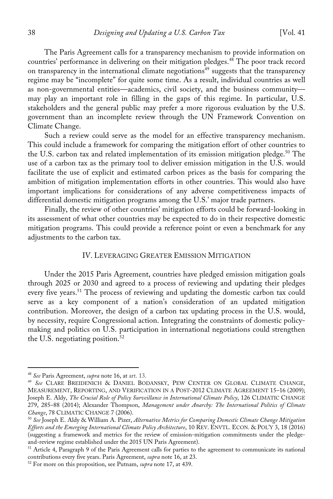The Paris Agreement calls for a transparency mechanism to provide information on countries' performance in delivering on their mitigation pledges.<sup>48</sup> The poor track record on transparency in the international climate negotiations<sup>49</sup> suggests that the transparency regime may be "incomplete" for quite some time. As a result, individual countries as well as non-governmental entities—academics, civil society, and the business community may play an important role in filling in the gaps of this regime. In particular, U.S. stakeholders and the general public may prefer a more rigorous evaluation by the U.S. government than an incomplete review through the UN Framework Convention on Climate Change.

Such a review could serve as the model for an effective transparency mechanism. This could include a framework for comparing the mitigation effort of other countries to the U.S. carbon tax and related implementation of its emission mitigation pledge.<sup>50</sup> The use of a carbon tax as the primary tool to deliver emission mitigation in the U.S. would facilitate the use of explicit and estimated carbon prices as the basis for comparing the ambition of mitigation implementation efforts in other countries. This would also have important implications for considerations of any adverse competitiveness impacts of differential domestic mitigation programs among the U.S.' major trade partners.

Finally, the review of other countries' mitigation efforts could be forward-looking in its assessment of what other countries may be expected to do in their respective domestic mitigation programs. This could provide a reference point or even a benchmark for any adjustments to the carbon tax.

# IV. LEVERAGING GREATER EMISSION MITIGATION

Under the 2015 Paris Agreement, countries have pledged emission mitigation goals through 2025 or 2030 and agreed to a process of reviewing and updating their pledges every five years.<sup>51</sup> The process of reviewing and updating the domestic carbon tax could serve as a key component of a nation's consideration of an updated mitigation contribution. Moreover, the design of a carbon tax updating process in the U.S. would, by necessity, require Congressional action. Integrating the constraints of domestic policymaking and politics on U.S. participation in international negotiations could strengthen the U.S. negotiating position. 52

<sup>48</sup> *See* Paris Agreement, *supra* note 16, at art. 13.

<sup>49</sup> *See* CLARE BREIDENICH & DANIEL BODANSKY, PEW CENTER ON GLOBAL CLIMATE CHANGE, MEASUREMENT, REPORTING, AND VERIFICATION IN A POST-2012 CLIMATE AGREEMENT 15–16 (2009); Joseph E. Aldy, *The Crucial Role of Policy Surveillance in International Climate Policy*, 126 CLIMATIC CHANGE 279, 285–88 (2014); Alexander Thompson, *Management under Anarchy: The International Politics of Climate Change*, 78 CLIMATIC CHANGE 7 (2006).

<sup>50</sup> *See* Joseph E. Aldy & William A. Pizer, *Alternative Metrics for Comparing Domestic Climate Change Mitigation Efforts and the Emerging International Climate Policy Architecture*, 10 REV. ENVTL. ECON. & POL'Y 3, 18 (2016) (suggesting a framework and metrics for the review of emission-mitigation commitments under the pledgeand-review regime established under the 2015 UN Paris Agreement).

<sup>&</sup>lt;sup>51</sup> Article 4, Paragraph 9 of the Paris Agreement calls for parties to the agreement to communicate its national contributions every five years. Paris Agreement, *supra* note 16, at 23.

<sup>52</sup> For more on this proposition, see Putnam, *supra* note 17, at 439.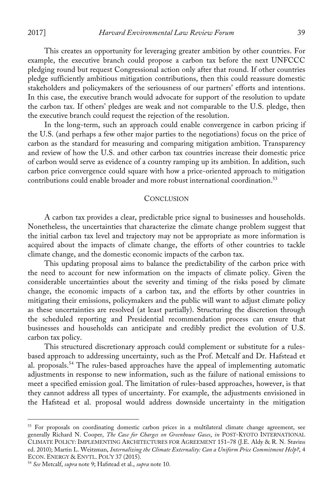This creates an opportunity for leveraging greater ambition by other countries. For example, the executive branch could propose a carbon tax before the next UNFCCC pledging round but request Congressional action only after that round. If other countries pledge sufficiently ambitious mitigation contributions, then this could reassure domestic stakeholders and policymakers of the seriousness of our partners' efforts and intentions. In this case, the executive branch would advocate for support of the resolution to update the carbon tax. If others' pledges are weak and not comparable to the U.S. pledge, then the executive branch could request the rejection of the resolution.

In the long-term, such an approach could enable convergence in carbon pricing if the U.S. (and perhaps a few other major parties to the negotiations) focus on the price of carbon as the standard for measuring and comparing mitigation ambition. Transparency and review of how the U.S. and other carbon tax countries increase their domestic price of carbon would serve as evidence of a country ramping up its ambition. In addition, such carbon price convergence could square with how a price-oriented approach to mitigation contributions could enable broader and more robust international coordination. 53

#### **CONCLUSION**

A carbon tax provides a clear, predictable price signal to businesses and households. Nonetheless, the uncertainties that characterize the climate change problem suggest that the initial carbon tax level and trajectory may not be appropriate as more information is acquired about the impacts of climate change, the efforts of other countries to tackle climate change, and the domestic economic impacts of the carbon tax.

This updating proposal aims to balance the predictability of the carbon price with the need to account for new information on the impacts of climate policy. Given the considerable uncertainties about the severity and timing of the risks posed by climate change, the economic impacts of a carbon tax, and the efforts by other countries in mitigating their emissions, policymakers and the public will want to adjust climate policy as these uncertainties are resolved (at least partially). Structuring the discretion through the scheduled reporting and Presidential recommendation process can ensure that businesses and households can anticipate and credibly predict the evolution of U.S. carbon tax policy.

This structured discretionary approach could complement or substitute for a rulesbased approach to addressing uncertainty, such as the Prof. Metcalf and Dr. Hafstead et al. proposals.<sup>54</sup> The rules-based approaches have the appeal of implementing automatic adjustments in response to new information, such as the failure of national emissions to meet a specified emission goal. The limitation of rules-based approaches, however, is that they cannot address all types of uncertainty. For example, the adjustments envisioned in the Hafstead et al. proposal would address downside uncertainty in the mitigation

<sup>&</sup>lt;sup>53</sup> For proposals on coordinating domestic carbon prices in a multilateral climate change agreement, see generally Richard N. Cooper, *The Case for Charges on Greenhouse Gases*, *in* POST-KYOTO INTERNATIONAL CLIMATE POLICY: IMPLEMENTING ARCHITECTURES FOR AGREEMENT 151–78 (J.E. Aldy & R. N. Stavins ed. 2010); Martin L. Weitzman, *Internalizing the Climate Externality: Can a Uniform Price Commitment Help?*, 4 ECON. ENERGY & ENVTL. POL'Y 37 (2015). 54 *See* Metcalf, *supra* note 9; Hafstead et al., *supra* note 10.